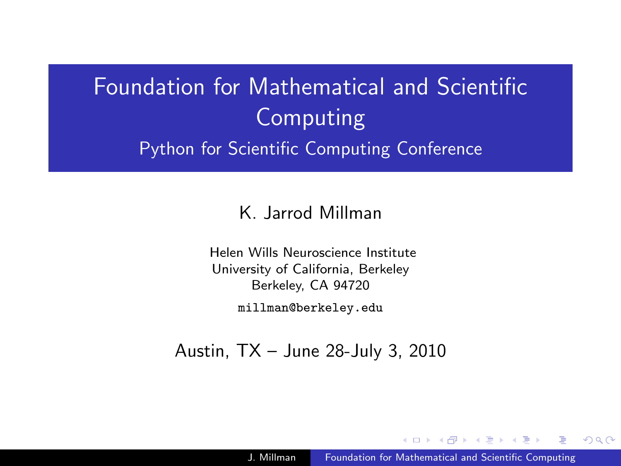# Foundation for Mathematical and Scientific Computing Python for Scientific Computing Conference

#### K. Jarrod Millman

Helen Wills Neuroscience Institute University of California, Berkeley Berkeley, CA 94720

millman@berkeley.edu

Austin, TX – June 28-July 3, 2010

A . . 3 . . 3

<span id="page-0-0"></span> $\Omega$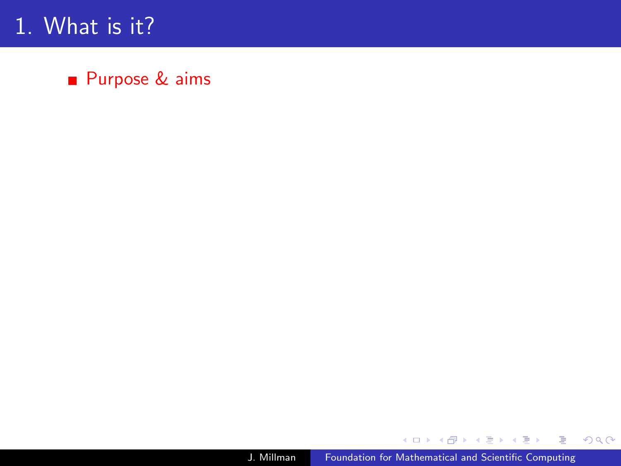# 1. What is it?

■ Purpose & aims

メロメメ 御 メメ きょく ミメー

唐山  $2990$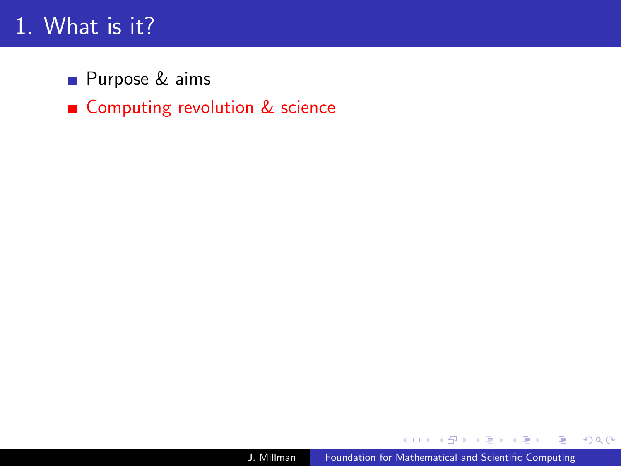# 1. What is it?

**Purpose & aims** 

Computing revolution & science

**何 ▶ ( 三 ) ( 三 )** 

 $299$ 

э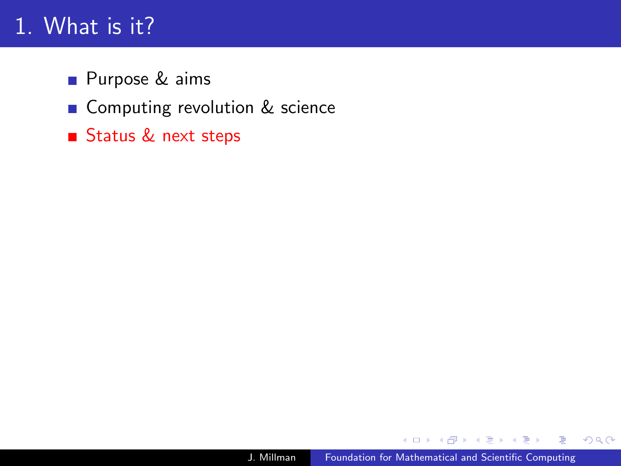# 1. What is it?

- **Purpose & aims**
- Computing revolution & science
- Status & next steps

御 ▶ ヨ ヨ ▶ ヨ ヨ

 $\mathbf{h}$ ∍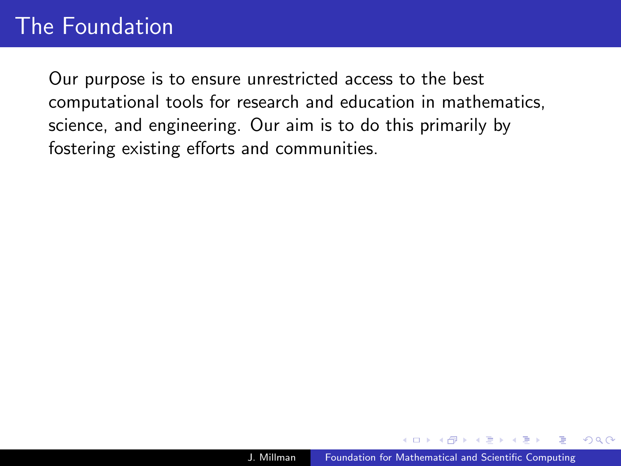# The Foundation

Our purpose is to ensure unrestricted access to the best computational tools for research and education in mathematics, science, and engineering. Our aim is to do this primarily by fostering existing efforts and communities.

 $\Omega$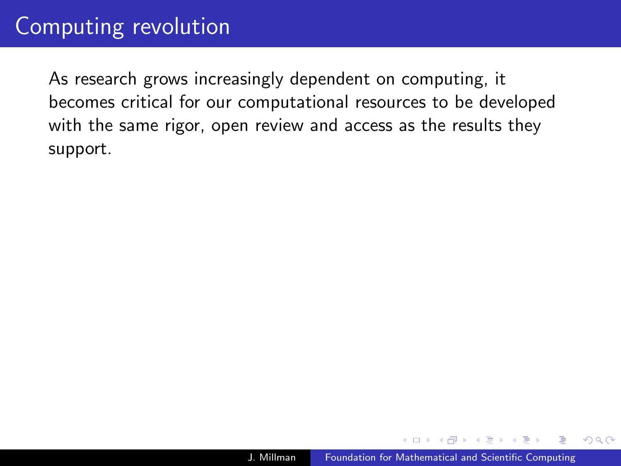As research grows increasingly dependent on computing, it becomes critical for our computational resources to be developed with the same rigor, open review and access as the results they support.

 $2Q$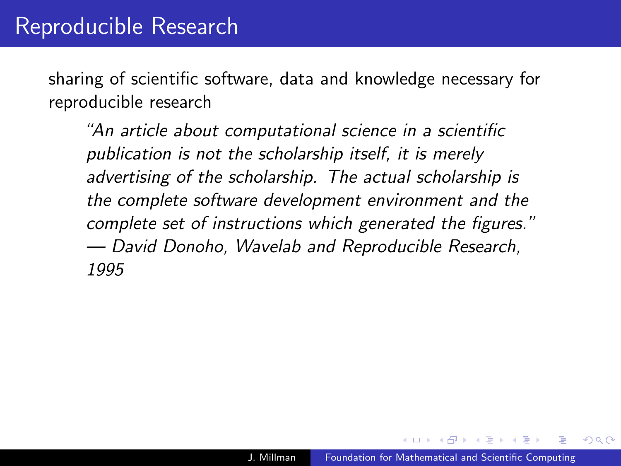sharing of scientific software, data and knowledge necessary for reproducible research

"An article about computational science in a scientific publication is not the scholarship itself, it is merely advertising of the scholarship. The actual scholarship is the complete software development environment and the complete set of instructions which generated the figures." — David Donoho, Wavelab and Reproducible Research, 1995

つへへ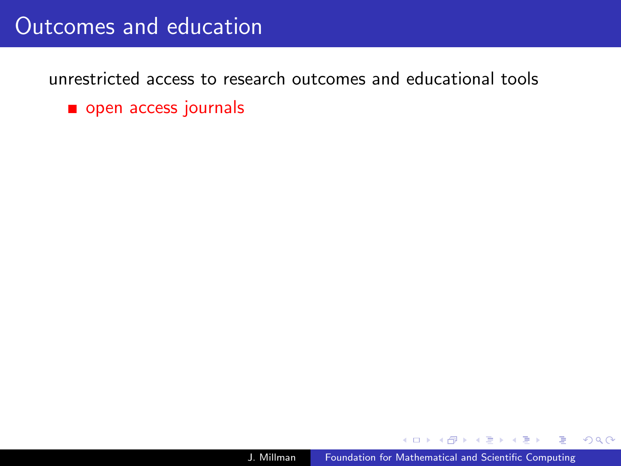### Outcomes and education

unrestricted access to research outcomes and educational tools

open access journals

 $\triangleright$  and  $\equiv$   $\triangleright$  and  $\equiv$   $\triangleright$ 

 $QQ$ 

∍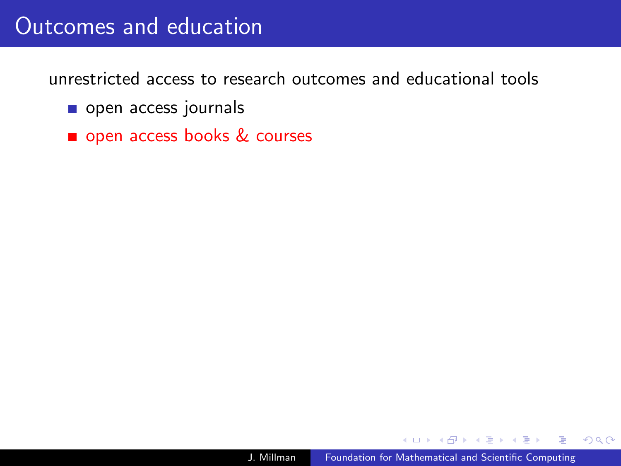### Outcomes and education

unrestricted access to research outcomes and educational tools

- open access journals
- open access books & courses

 $\triangleright$  and  $\equiv$   $\triangleright$  and  $\equiv$   $\triangleright$ 

 $2Q$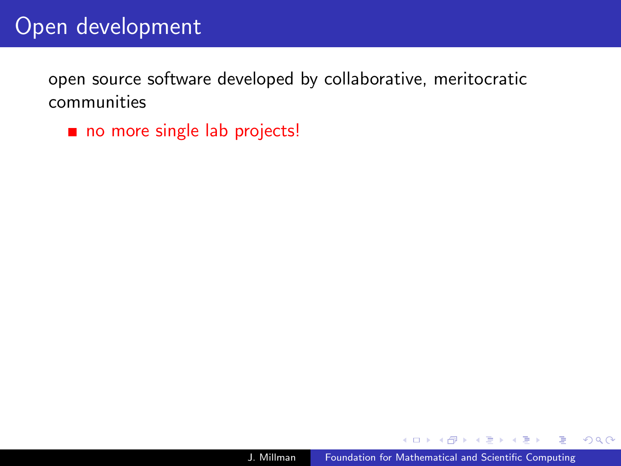# Open development

open source software developed by collaborative, meritocratic communities

no more single lab projects!

医阿里氏阿里氏

 $QQ$ 

∍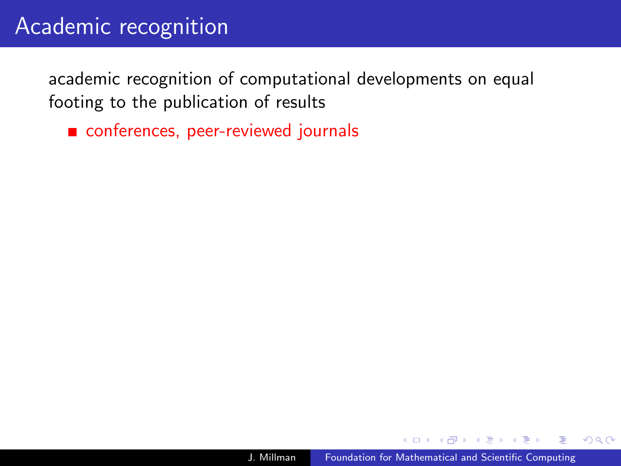# Academic recognition

academic recognition of computational developments on equal footing to the publication of results

conferences, peer-reviewed journals

 $2Q$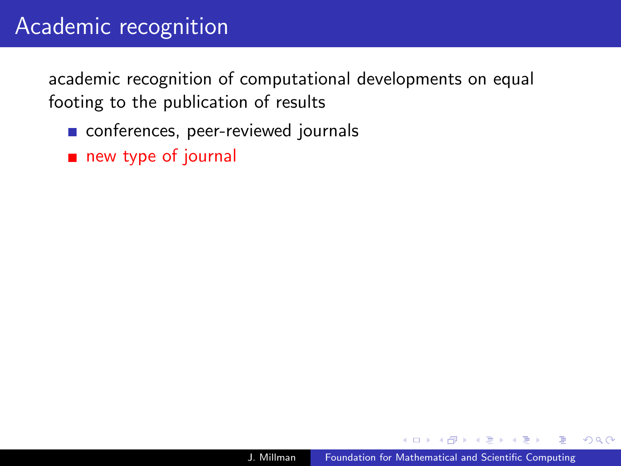# Academic recognition

academic recognition of computational developments on equal footing to the publication of results

- conferences, peer-reviewed journals
- new type of journal

 $QQ$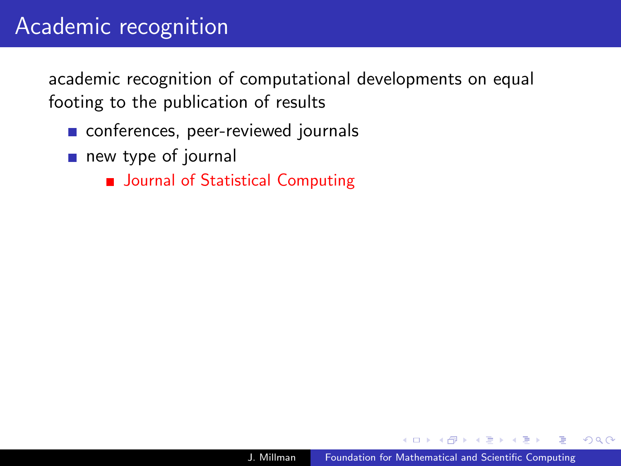academic recognition of computational developments on equal footing to the publication of results

- conferences, peer-reviewed journals
- new type of journal
	- **Journal of Statistical Computing**

つへへ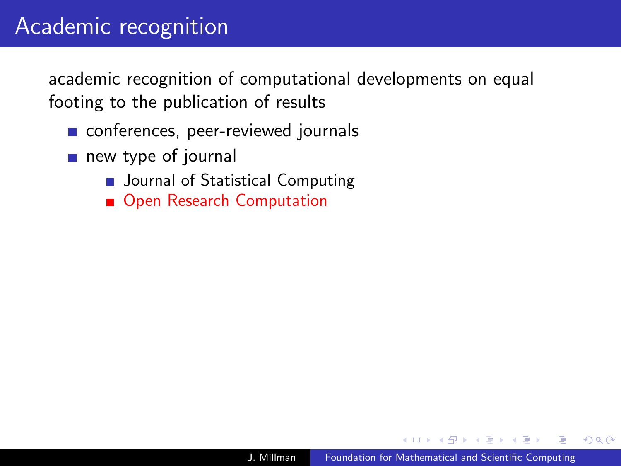academic recognition of computational developments on equal footing to the publication of results

- conferences, peer-reviewed journals
- new type of journal
	- **Journal of Statistical Computing**
	- Open Research Computation

つへへ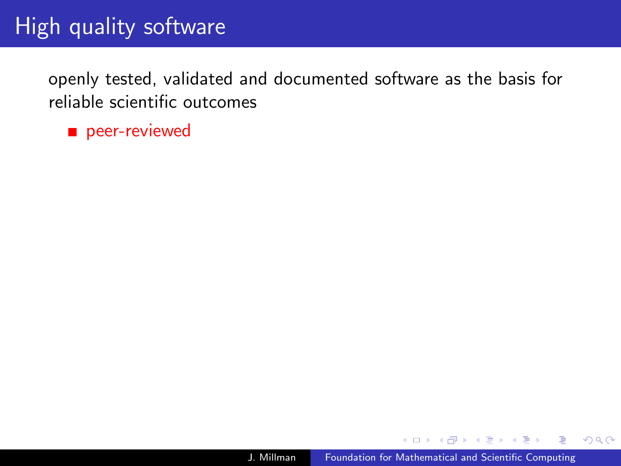openly tested, validated and documented software as the basis for reliable scientific outcomes

peer-reviewed

 $\triangleright$  and  $\equiv$   $\triangleright$  and  $\equiv$   $\triangleright$ 

 $QQ$ 

∍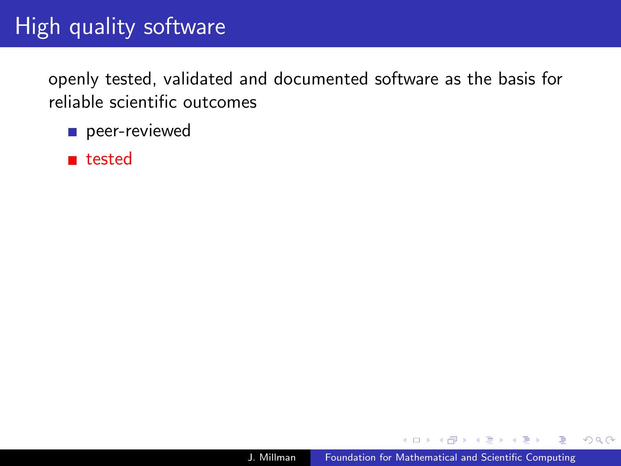openly tested, validated and documented software as the basis for reliable scientific outcomes

- peer-reviewed
- **n** tested

 $\triangleright$  and  $\equiv$   $\triangleright$  and  $\equiv$   $\triangleright$ 

 $QQ$ 

∍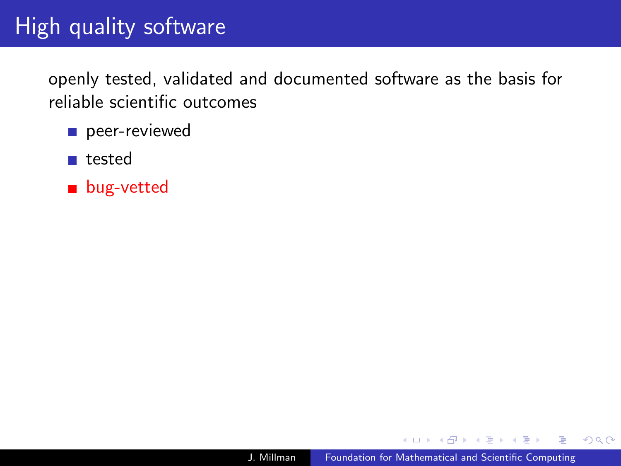openly tested, validated and documented software as the basis for reliable scientific outcomes

- peer-reviewed
- tested
- **bug-vetted**

 $2Q$ 

∍

化重复化重复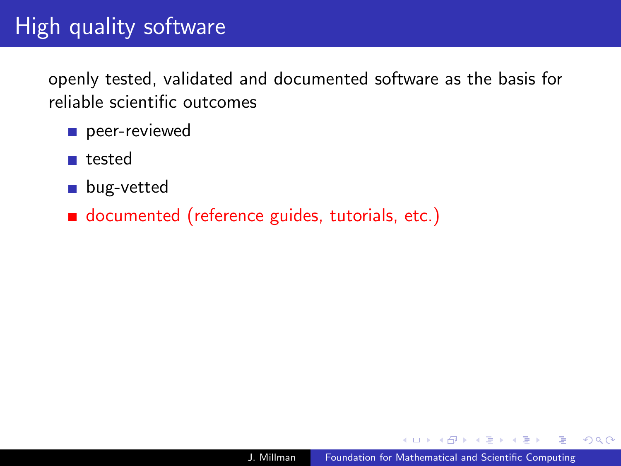openly tested, validated and documented software as the basis for reliable scientific outcomes

- peer-reviewed
- tested
- **bug-vetted**
- documented (reference guides, tutorials, etc.)

 $QQ$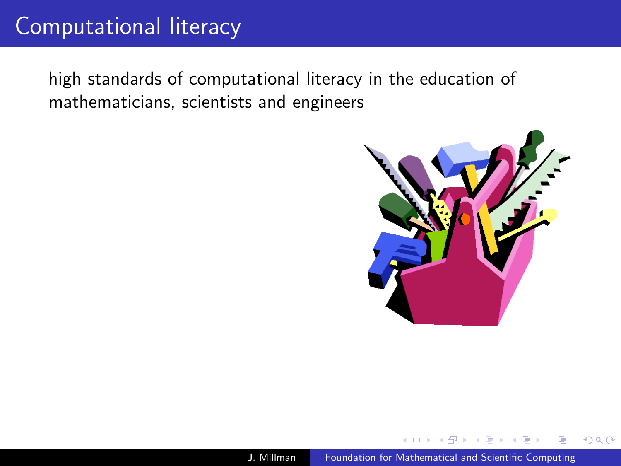# Computational literacy

high standards of computational literacy in the education of mathematicians, scientists and engineers



 $QQ$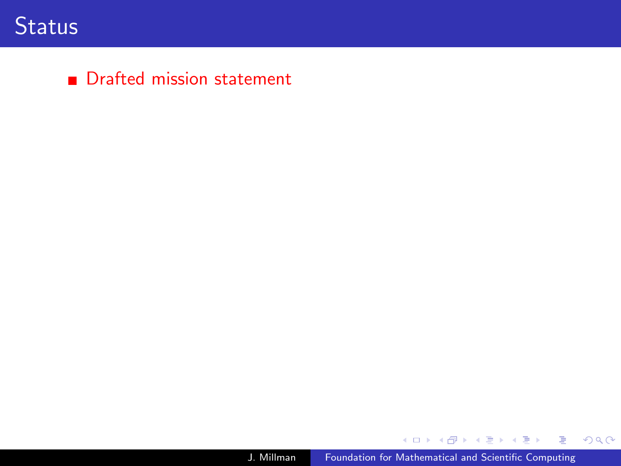#### **Drafted mission statement**

メロメメ 御 メメ きょく ミメー

唐山  $2990$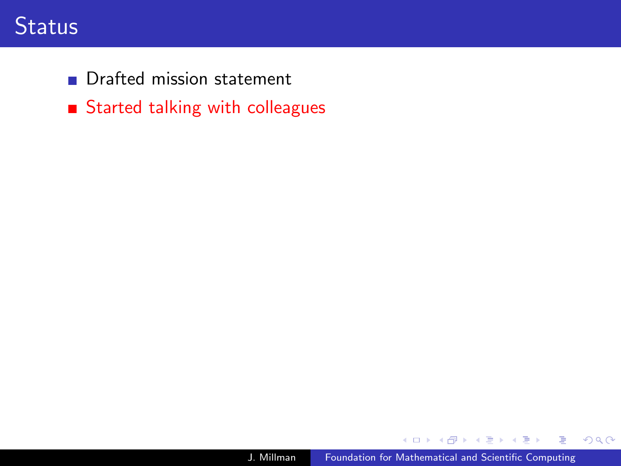### **Status**

**Drafted mission statement** 

Started talking with colleagues

E

伺 ▶ イヨ ▶ イヨ ▶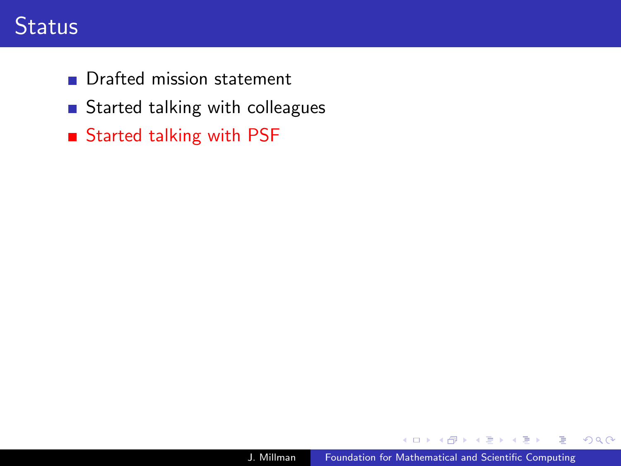## **Status**

- **Drafted mission statement**
- Started talking with colleagues
- Started talking with PSF

医间窦的间窦

 $\mathbf{h}$ ∍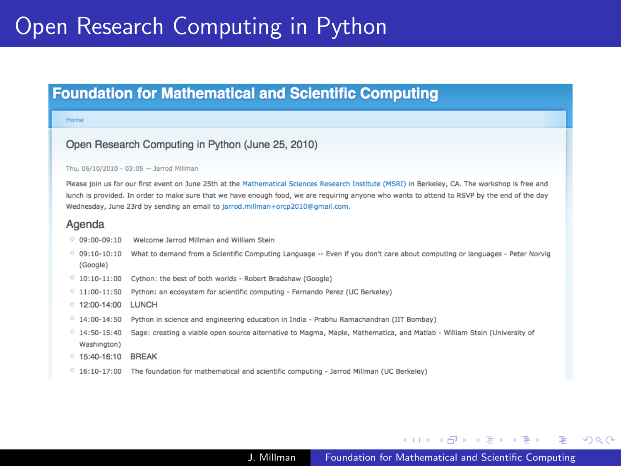# Open Research Computing in Python

#### **Foundation for Mathematical and Scientific Computing**

#### Home

#### Open Research Computing in Python (June 25, 2010)

#### Thu, 06/10/2010 - 03:05 - Jarrod Millman

Please join us for our first event on June 25th at the Mathematical Sciences Research Institute (MSRI) in Berkeley, CA, The workshop is free and lunch is provided. In order to make sure that we have enough food, we are requiring anyone who wants to attend to RSVP by the end of the day Wednesday, June 23rd by sending an email to jarrod.millman+orcp2010@qmail.com.

#### Agenda

|  | $09:00 - 09:10$ | Welcome Jarrod Millman and William Stein |  |  |
|--|-----------------|------------------------------------------|--|--|
|--|-----------------|------------------------------------------|--|--|

- O 09:10-10:10 What to demand from a Scientific Computing Language -- Even if you don't care about computing or languages Peter Norvig (Google)
- <sup>0</sup> 10:10-11:00 Cython: the best of both worlds Robert Bradshaw (Google)
- $\degree$  11:00-11:50 Python: an ecosystem for scientific computing Fernando Perez (UC Berkeley)
- $\circ$  12:00-14:00 LUNCH
- $\degree$  14:00-14:50 Python in science and engineering education in India Prabhu Ramachandran (IIT Bombay)
- $0$  14:50-15:40 Sage: creating a viable open source alternative to Magma, Maple, Mathematica, and Matlab - William Stein (University of Washington)
- 0 15:40-16:10 BREAK
- $\degree$  16:10-17:00 The foundation for mathematical and scientific computing Jarrod Millman (UC Berkeley)

イロメ イ何メ イヨメ イヨメーヨー

 $\Omega$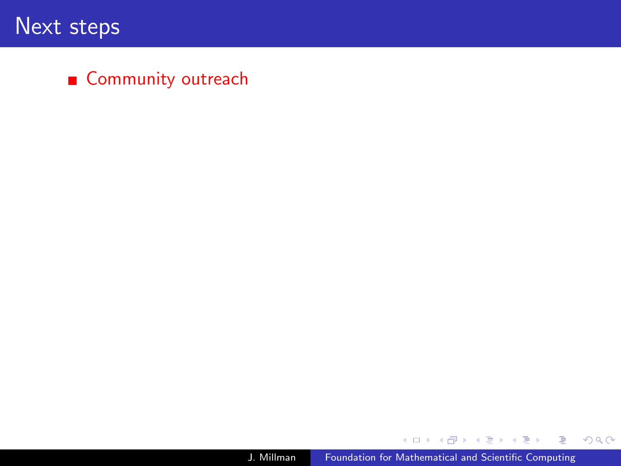#### ■ Community outreach

メタメ メミメ メミメー

目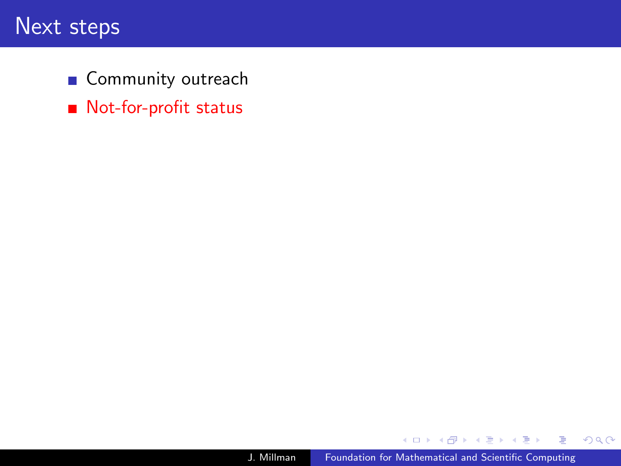- Community outreach
- Not-for-profit status

E

÷ 医间面  $\,$ 

 $\mathbb{R}$ ×.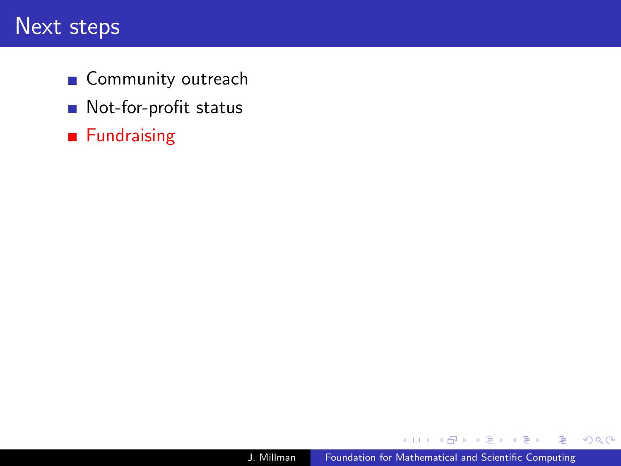- Community outreach
- Not-for-profit status
- **Fundraising**

E

÷  $\sim$  $\rightarrow$   $\equiv$  $\,$ 

 $\mathbb{R}$ ×.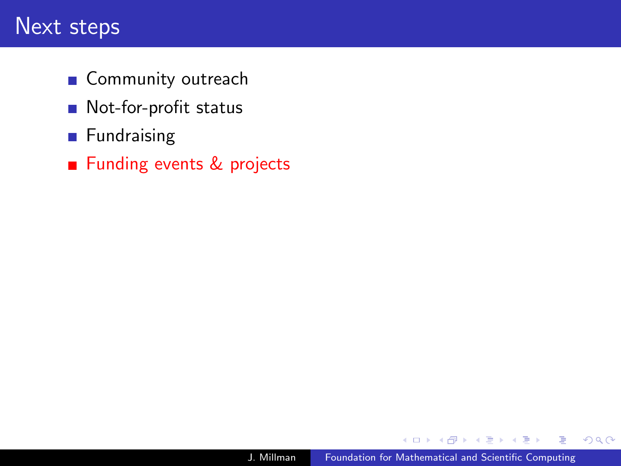- Community outreach
- Not-for-profit status
- **Fundraising**
- Funding events & projects

∍

性

 $299$ 

∍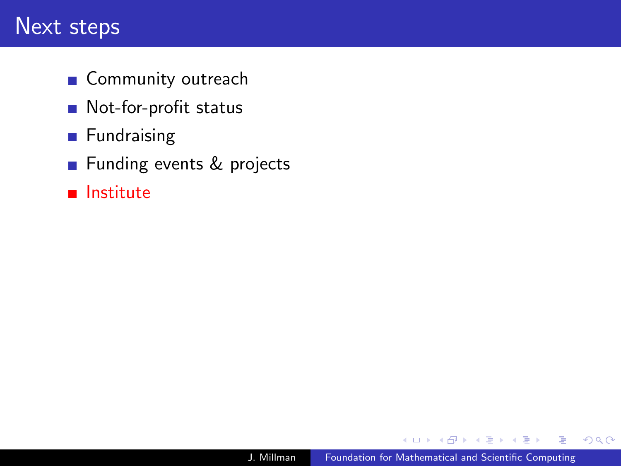- Community outreach
- Not-for-profit status
- **Fundraising**
- **Funding events & projects**
- **n** Institute

э

∍

 $299$ 

∍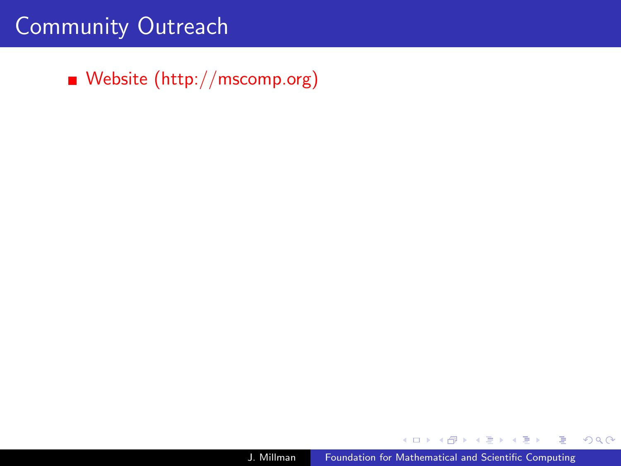Website [\(http://mscomp.org\)](http://mscomp.org)

**何 ▶ ( 三 ) ( 三 )** 

 $299$ 

э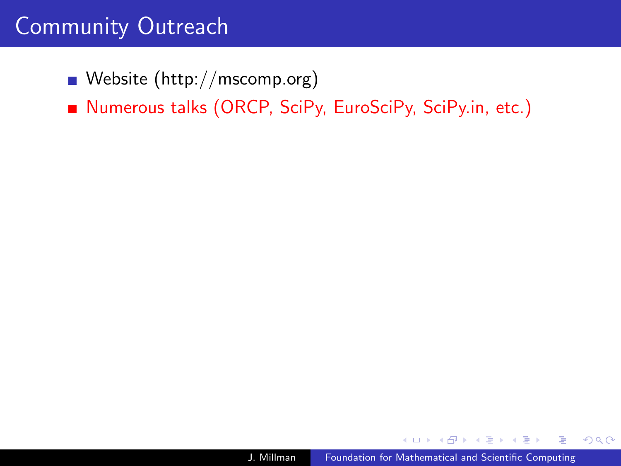Website [\(http://mscomp.org\)](http://mscomp.org)

■ Numerous talks (ORCP, SciPy, EuroSciPy, SciPy.in, etc.)

 $QQ$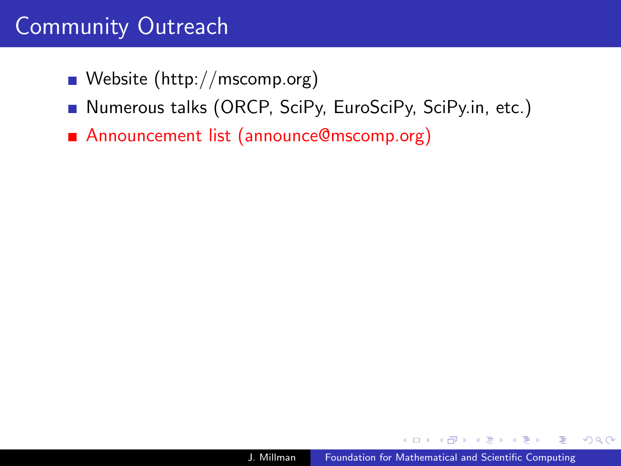- Website [\(http://mscomp.org\)](http://mscomp.org)
- Numerous talks (ORCP, SciPy, EuroSciPy, SciPy.in, etc.)
- Announcement list [\(announce@mscomp.org\)](mailto:announce@mscomp.org)

 $QQ$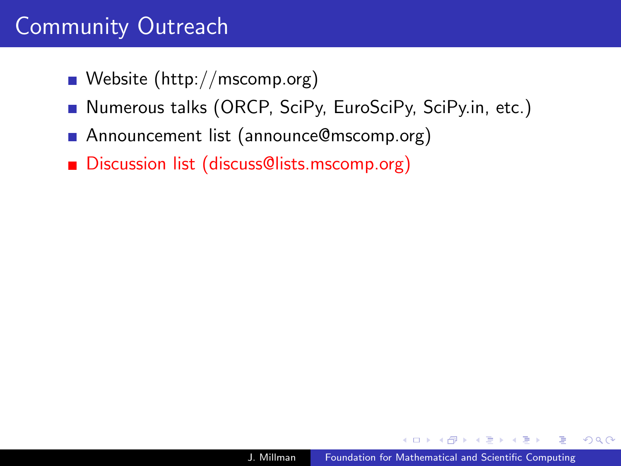- Website [\(http://mscomp.org\)](http://mscomp.org)
- Numerous talks (ORCP, SciPy, EuroSciPy, SciPy.in, etc.)
- **Announcement list [\(announce@mscomp.org\)](mailto:announce@mscomp.org)**
- Discussion list [\(discuss@lists.mscomp.org\)](mailto:discuss@lists.mscomp.org)

 $\Omega$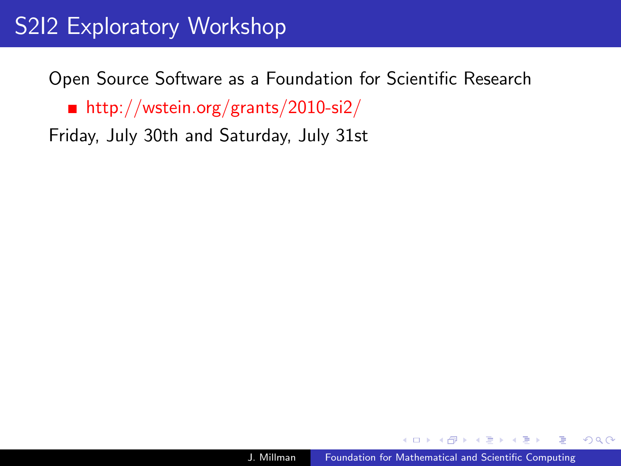# S2I2 Exploratory Workshop

Open Source Software as a Foundation for Scientific Research ■ <http://wstein.org/grants/2010-si2/> Friday, July 30th and Saturday, July 31st

<span id="page-32-0"></span> $QQ$